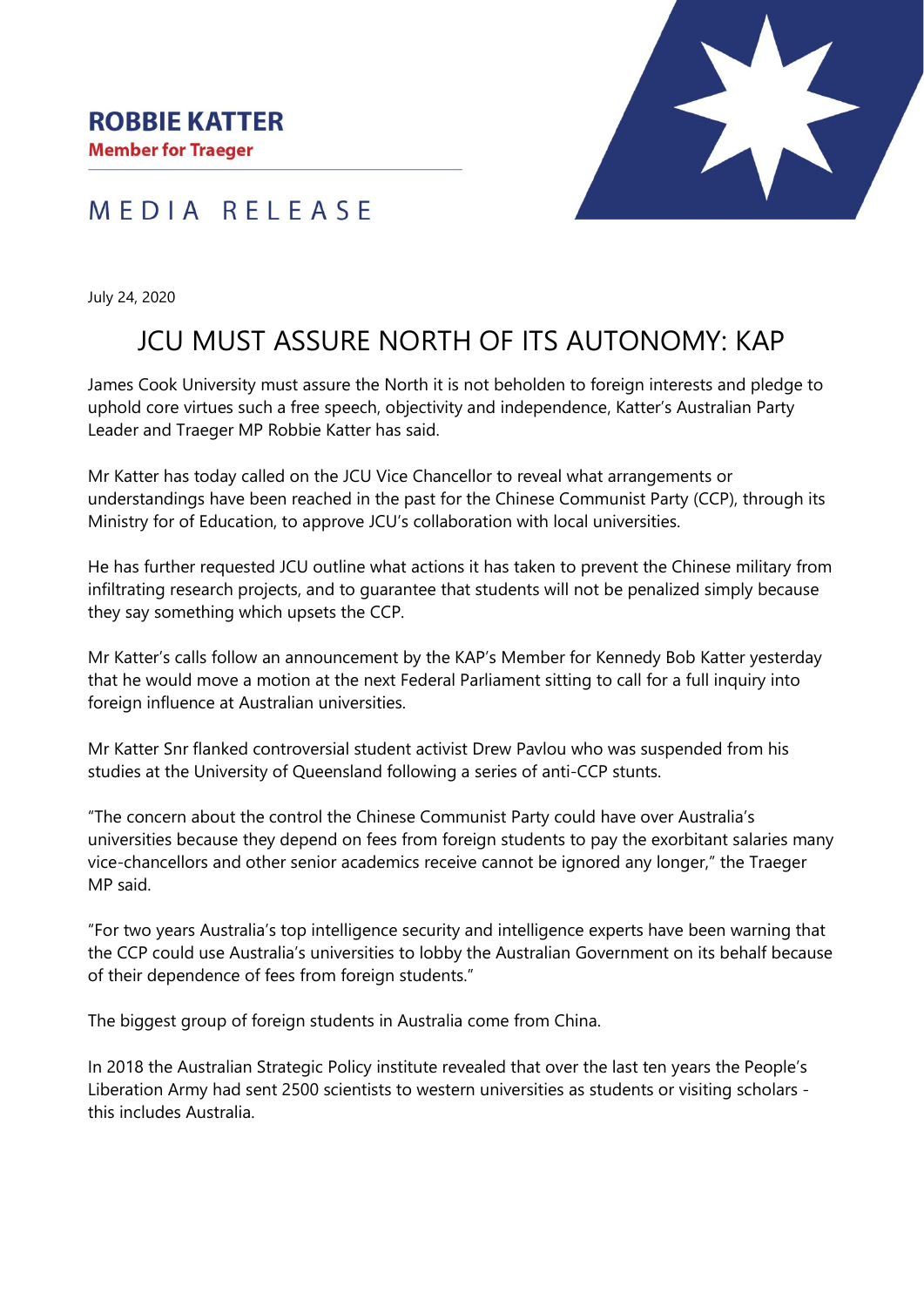## MEDIA RELEASE



July 24, 2020

# JCU MUST ASSURE NORTH OF ITS AUTONOMY: KAP

James Cook University must assure the North it is not beholden to foreign interests and pledge to uphold core virtues such a free speech, objectivity and independence, Katter's Australian Party Leader and Traeger MP Robbie Katter has said.

Mr Katter has today called on the JCU Vice Chancellor to reveal what arrangements or understandings have been reached in the past for the Chinese Communist Party (CCP), through its Ministry for of Education, to approve JCU's collaboration with local universities.

He has further requested JCU outline what actions it has taken to prevent the Chinese military from infiltrating research projects, and to guarantee that students will not be penalized simply because they say something which upsets the CCP.

Mr Katter's calls follow an announcement by the KAP's Member for Kennedy Bob Katter yesterday that he would move a motion at the next Federal Parliament sitting to call for a full inquiry into foreign influence at Australian universities.

Mr Katter Snr flanked controversial student activist Drew Pavlou who was suspended from his studies at the University of Queensland following a series of anti-CCP stunts.

"The concern about the control the Chinese Communist Party could have over Australia's universities because they depend on fees from foreign students to pay the exorbitant salaries many vice-chancellors and other senior academics receive cannot be ignored any longer," the Traeger MP said.

"For two years Australia's top intelligence security and intelligence experts have been warning that the CCP could use Australia's universities to lobby the Australian Government on its behalf because of their dependence of fees from foreign students."

The biggest group of foreign students in Australia come from China.

In 2018 the Australian Strategic Policy institute revealed that over the last ten years the People's Liberation Army had sent 2500 scientists to western universities as students or visiting scholars this includes Australia.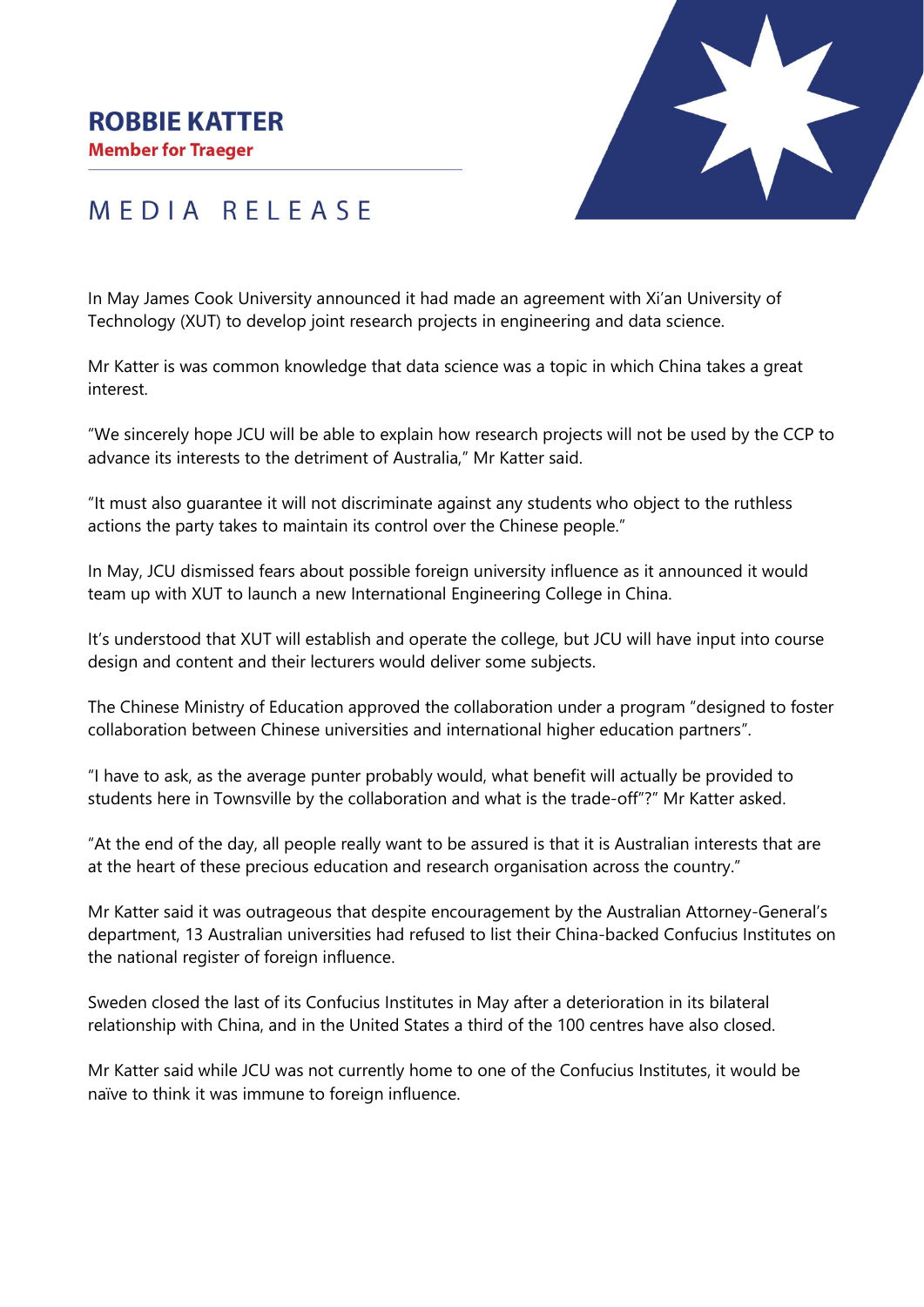### **ROBBIE KATTER**

**Member for Traeger** 



# MEDIA RELEASE

In May James Cook University announced it had made an agreement with Xi'an University of Technology (XUT) to develop joint research projects in engineering and data science.

Mr Katter is was common knowledge that data science was a topic in which China takes a great interest.

"We sincerely hope JCU will be able to explain how research projects will not be used by the CCP to advance its interests to the detriment of Australia," Mr Katter said.

"It must also guarantee it will not discriminate against any students who object to the ruthless actions the party takes to maintain its control over the Chinese people."

In May, JCU dismissed fears about possible foreign university influence as it announced it would team up with XUT to launch a new International Engineering College in China.

It's understood that XUT will establish and operate the college, but JCU will have input into course design and content and their lecturers would deliver some subjects.

The Chinese Ministry of Education approved the collaboration under a program "designed to foster collaboration between Chinese universities and international higher education partners".

"I have to ask, as the average punter probably would, what benefit will actually be provided to students here in Townsville by the collaboration and what is the trade-off"?" Mr Katter asked.

"At the end of the day, all people really want to be assured is that it is Australian interests that are at the heart of these precious education and research organisation across the country."

Mr Katter said it was outrageous that despite encouragement by the Australian Attorney-General's department, 13 Australian universities had refused to list their China-backed Confucius Institutes on the national register of foreign influence.

Sweden closed the last of its Confucius Institutes in May after a deterioration in its bilateral relationship with China, and in the United States a third of the 100 centres have also closed.

Mr Katter said while JCU was not currently home to one of the Confucius Institutes, it would be naïve to think it was immune to foreign influence.